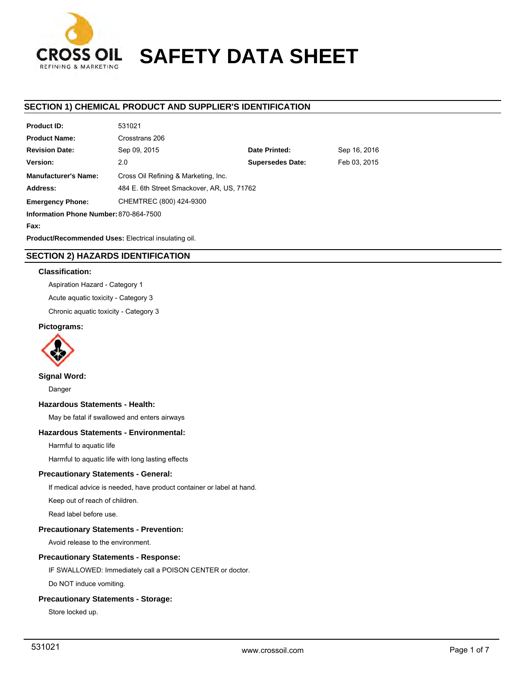

# **SAFETY DATA SHEET**

## **SECTION 1) CHEMICAL PRODUCT AND SUPPLIER'S IDENTIFICATION**

| <b>Product ID:</b>                     | 531021                                     |                         |              |  |  |
|----------------------------------------|--------------------------------------------|-------------------------|--------------|--|--|
| <b>Product Name:</b>                   | Crosstrans 206                             |                         |              |  |  |
| <b>Revision Date:</b>                  | Sep 09, 2015                               | Date Printed:           | Sep 16, 2016 |  |  |
| Version:                               | 2.0                                        | <b>Supersedes Date:</b> | Feb 03, 2015 |  |  |
| <b>Manufacturer's Name:</b>            | Cross Oil Refining & Marketing, Inc.       |                         |              |  |  |
| Address:                               | 484 E. 6th Street Smackover, AR, US, 71762 |                         |              |  |  |
| <b>Emergency Phone:</b>                | CHEMTREC (800) 424-9300                    |                         |              |  |  |
| Information Phone Number: 870-864-7500 |                                            |                         |              |  |  |
| Fax:                                   |                                            |                         |              |  |  |
|                                        |                                            |                         |              |  |  |

**Product/Recommended Uses:** Electrical insulating oil.

## **SECTION 2) HAZARDS IDENTIFICATION**

#### **Classification:**

Aspiration Hazard - Category 1

Acute aquatic toxicity - Category 3

Chronic aquatic toxicity - Category 3

#### **Pictograms:**



**Signal Word:**

Danger

#### **Hazardous Statements - Health:**

May be fatal if swallowed and enters airways

## **Hazardous Statements - Environmental:**

Harmful to aquatic life

Harmful to aquatic life with long lasting effects

## **Precautionary Statements - General:**

If medical advice is needed, have product container or label at hand.

Keep out of reach of children.

Read label before use.

## **Precautionary Statements - Prevention:**

Avoid release to the environment.

#### **Precautionary Statements - Response:**

IF SWALLOWED: Immediately call a POISON CENTER or doctor.

Do NOT induce vomiting.

## **Precautionary Statements - Storage:**

Store locked up.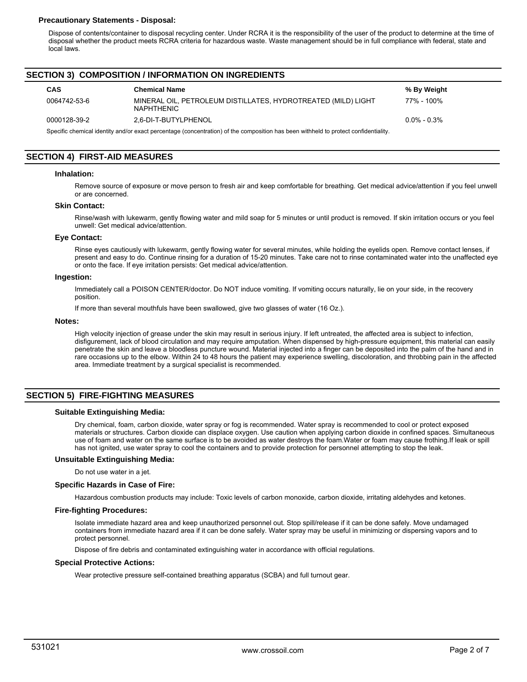#### **Precautionary Statements - Disposal:**

Dispose of contents/container to disposal recycling center. Under RCRA it is the responsibility of the user of the product to determine at the time of disposal whether the product meets RCRA criteria for hazardous waste. Waste management should be in full compliance with federal, state and local laws.

## **SECTION 3) COMPOSITION / INFORMATION ON INGREDIENTS**

| <b>CAS</b>                                                                                                                          | <b>Chemical Name</b>                                                               | % By Weight    |  |  |  |
|-------------------------------------------------------------------------------------------------------------------------------------|------------------------------------------------------------------------------------|----------------|--|--|--|
| 0064742-53-6                                                                                                                        | MINERAL OIL, PETROLEUM DISTILLATES, HYDROTREATED (MILD) LIGHT<br><b>NAPHTHENIC</b> | 77% - 100%     |  |  |  |
| 0000128-39-2                                                                                                                        | 2.6-DI-T-BUTYLPHENOL                                                               | $0.0\%$ - 0.3% |  |  |  |
| Specific chemical identity and/or exact percentage (concentration) of the composition has been withheld to protect confidentiality. |                                                                                    |                |  |  |  |

## **SECTION 4) FIRST-AID MEASURES**

#### **Inhalation:**

Remove source of exposure or move person to fresh air and keep comfortable for breathing. Get medical advice/attention if you feel unwell or are concerned.

#### **Skin Contact:**

Rinse/wash with lukewarm, gently flowing water and mild soap for 5 minutes or until product is removed. If skin irritation occurs or you feel unwell: Get medical advice/attention.

#### **Eye Contact:**

Rinse eyes cautiously with lukewarm, gently flowing water for several minutes, while holding the eyelids open. Remove contact lenses, if present and easy to do. Continue rinsing for a duration of 15-20 minutes. Take care not to rinse contaminated water into the unaffected eye or onto the face. If eye irritation persists: Get medical advice/attention.

#### **Ingestion:**

Immediately call a POISON CENTER/doctor. Do NOT induce vomiting. If vomiting occurs naturally, lie on your side, in the recovery position.

If more than several mouthfuls have been swallowed, give two glasses of water (16 Oz.).

#### **Notes:**

High velocity injection of grease under the skin may result in serious injury. If left untreated, the affected area is subject to infection, disfigurement, lack of blood circulation and may require amputation. When dispensed by high-pressure equipment, this material can easily penetrate the skin and leave a bloodless puncture wound. Material injected into a finger can be deposited into the palm of the hand and in rare occasions up to the elbow. Within 24 to 48 hours the patient may experience swelling, discoloration, and throbbing pain in the affected area. Immediate treatment by a surgical specialist is recommended.

## **SECTION 5) FIRE-FIGHTING MEASURES**

#### **Suitable Extinguishing Media:**

Dry chemical, foam, carbon dioxide, water spray or fog is recommended. Water spray is recommended to cool or protect exposed materials or structures. Carbon dioxide can displace oxygen. Use caution when applying carbon dioxide in confined spaces. Simultaneous use of foam and water on the same surface is to be avoided as water destroys the foam.Water or foam may cause frothing.If leak or spill has not ignited, use water spray to cool the containers and to provide protection for personnel attempting to stop the leak.

#### **Unsuitable Extinguishing Media:**

Do not use water in a jet.

#### **Specific Hazards in Case of Fire:**

Hazardous combustion products may include: Toxic levels of carbon monoxide, carbon dioxide, irritating aldehydes and ketones.

#### **Fire-fighting Procedures:**

Isolate immediate hazard area and keep unauthorized personnel out. Stop spill/release if it can be done safely. Move undamaged containers from immediate hazard area if it can be done safely. Water spray may be useful in minimizing or dispersing vapors and to protect personnel.

Dispose of fire debris and contaminated extinguishing water in accordance with official regulations.

#### **Special Protective Actions:**

Wear protective pressure self-contained breathing apparatus (SCBA) and full turnout gear.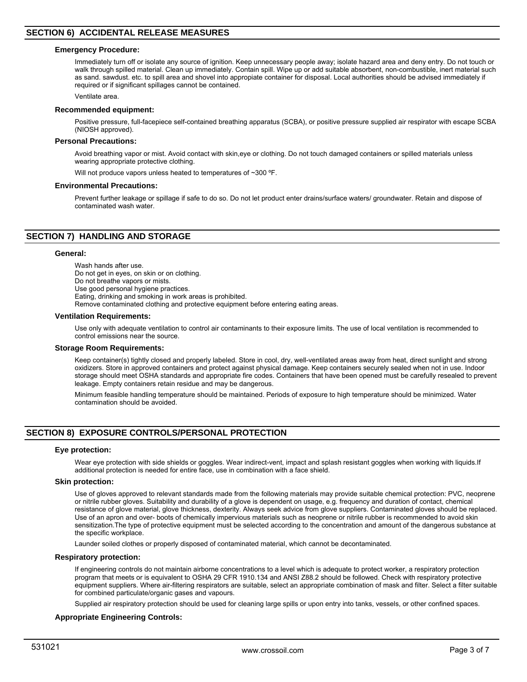#### **Emergency Procedure:**

Immediately turn off or isolate any source of ignition. Keep unnecessary people away; isolate hazard area and deny entry. Do not touch or walk through spilled material. Clean up immediately. Contain spill. Wipe up or add suitable absorbent, non-combustible, inert material such as sand. sawdust. etc. to spill area and shovel into appropiate container for disposal. Local authorities should be advised immediately if required or if significant spillages cannot be contained.

Ventilate area.

#### **Recommended equipment:**

Positive pressure, full-facepiece self-contained breathing apparatus (SCBA), or positive pressure supplied air respirator with escape SCBA (NIOSH approved).

#### **Personal Precautions:**

Avoid breathing vapor or mist. Avoid contact with skin,eye or clothing. Do not touch damaged containers or spilled materials unless wearing appropriate protective clothing.

Will not produce vapors unless heated to temperatures of ~300 °F.

#### **Environmental Precautions:**

Prevent further leakage or spillage if safe to do so. Do not let product enter drains/surface waters/ groundwater. Retain and dispose of contaminated wash water.

## **SECTION 7) HANDLING AND STORAGE**

#### **General:**

Wash hands after use. Do not get in eyes, on skin or on clothing. Do not breathe vapors or mists. Use good personal hygiene practices. Eating, drinking and smoking in work areas is prohibited. Remove contaminated clothing and protective equipment before entering eating areas.

#### **Ventilation Requirements:**

Use only with adequate ventilation to control air contaminants to their exposure limits. The use of local ventilation is recommended to control emissions near the source.

#### **Storage Room Requirements:**

Keep container(s) tightly closed and properly labeled. Store in cool, dry, well-ventilated areas away from heat, direct sunlight and strong oxidizers. Store in approved containers and protect against physical damage. Keep containers securely sealed when not in use. Indoor storage should meet OSHA standards and appropriate fire codes. Containers that have been opened must be carefully resealed to prevent leakage. Empty containers retain residue and may be dangerous.

Minimum feasible handling temperature should be maintained. Periods of exposure to high temperature should be minimized. Water contamination should be avoided.

## **SECTION 8) EXPOSURE CONTROLS/PERSONAL PROTECTION**

#### **Eye protection:**

Wear eye protection with side shields or goggles. Wear indirect-vent, impact and splash resistant goggles when working with liquids.If additional protection is needed for entire face, use in combination with a face shield.

#### **Skin protection:**

Use of gloves approved to relevant standards made from the following materials may provide suitable chemical protection: PVC, neoprene or nitrile rubber gloves. Suitability and durability of a glove is dependent on usage, e.g. frequency and duration of contact, chemical resistance of glove material, glove thickness, dexterity. Always seek advice from glove suppliers. Contaminated gloves should be replaced. Use of an apron and over- boots of chemically impervious materials such as neoprene or nitrile rubber is recommended to avoid skin sensitization.The type of protective equipment must be selected according to the concentration and amount of the dangerous substance at the specific workplace.

Launder soiled clothes or properly disposed of contaminated material, which cannot be decontaminated.

#### **Respiratory protection:**

If engineering controls do not maintain airborne concentrations to a level which is adequate to protect worker, a respiratory protection program that meets or is equivalent to OSHA 29 CFR 1910.134 and ANSI Z88.2 should be followed. Check with respiratory protective equipment suppliers. Where air-filtering respirators are suitable, select an appropriate combination of mask and filter. Select a filter suitable for combined particulate/organic gases and vapours.

Supplied air respiratory protection should be used for cleaning large spills or upon entry into tanks, vessels, or other confined spaces.

#### **Appropriate Engineering Controls:**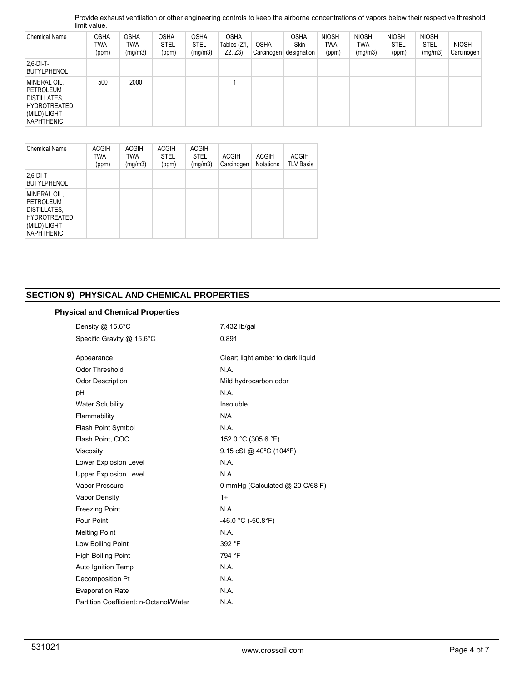Provide exhaust ventilation or other engineering controls to keep the airborne concentrations of vapors below their respective threshold limit value.

| <b>Chemical Name</b>                                                                                         | <b>OSHA</b><br>twa<br>(ppm) | <b>OSHA</b><br>TWA<br>(mg/m3) | <b>OSHA</b><br><b>STEL</b><br>(ppm) | <b>OSHA</b><br><b>STEL</b><br>(mg/m3) | <b>OSHA</b><br>Tables (Z1,<br>Z2, Z3 | <b>OSHA</b><br>Carcinogen | <b>OSHA</b><br><b>Skin</b><br>designation | <b>NIOSH</b><br><b>TWA</b><br>(ppm) | <b>NIOSH</b><br>TWA<br>(mg/m3) | <b>NIOSH</b><br><b>STEL</b><br>(ppm) | <b>NIOSH</b><br>STEL<br>(mg/m3) | <b>NIOSH</b><br>Carcinogen |
|--------------------------------------------------------------------------------------------------------------|-----------------------------|-------------------------------|-------------------------------------|---------------------------------------|--------------------------------------|---------------------------|-------------------------------------------|-------------------------------------|--------------------------------|--------------------------------------|---------------------------------|----------------------------|
| $2.6$ -DI-T-<br><b>BUTYLPHENOL</b>                                                                           |                             |                               |                                     |                                       |                                      |                           |                                           |                                     |                                |                                      |                                 |                            |
| MINERAL OIL,<br>PETROLEUM<br><b>DISTILLATES,</b><br><b>HYDROTREATED</b><br>(MILD) LIGHT<br><b>NAPHTHENIC</b> | 500                         | 2000                          |                                     |                                       |                                      |                           |                                           |                                     |                                |                                      |                                 |                            |

| Chemical Name                                                                                         | <b>ACGIH</b><br><b>TWA</b><br>(ppm) | <b>ACGIH</b><br>TWA<br>(mg/m3) | <b>ACGIH</b><br><b>STEL</b><br>(ppm) | <b>ACGIH</b><br><b>STEL</b><br>(mg/m3) | <b>ACGIH</b><br>Carcinogen | <b>ACGIH</b><br><b>Notations</b> | <b>ACGIH</b><br><b>TLV Basis</b> |
|-------------------------------------------------------------------------------------------------------|-------------------------------------|--------------------------------|--------------------------------------|----------------------------------------|----------------------------|----------------------------------|----------------------------------|
| $2.6-DI-T-$<br><b>BUTYLPHENOL</b>                                                                     |                                     |                                |                                      |                                        |                            |                                  |                                  |
| MINERAL OIL,<br>PETROLEUM<br>DISTILLATES,<br><b>HYDROTREATED</b><br>(MILD) LIGHT<br><b>NAPHTHENIC</b> |                                     |                                |                                      |                                        |                            |                                  |                                  |

## **SECTION 9) PHYSICAL AND CHEMICAL PROPERTIES**

|  |  |  | <b>Physical and Chemical Properties</b> |
|--|--|--|-----------------------------------------|
|--|--|--|-----------------------------------------|

| Density @ 15.6°C                       | 7.432 lb/gal                      |  |  |  |  |
|----------------------------------------|-----------------------------------|--|--|--|--|
| Specific Gravity @ 15.6°C              | 0.891                             |  |  |  |  |
| Appearance                             | Clear; light amber to dark liquid |  |  |  |  |
| Odor Threshold                         | N.A.                              |  |  |  |  |
| Odor Description                       | Mild hydrocarbon odor             |  |  |  |  |
| pH                                     | N.A.                              |  |  |  |  |
| <b>Water Solubility</b>                | Insoluble                         |  |  |  |  |
| Flammability                           | N/A                               |  |  |  |  |
| Flash Point Symbol                     | N.A.                              |  |  |  |  |
| Flash Point, COC                       | 152.0 °C (305.6 °F)               |  |  |  |  |
| Viscosity                              | 9.15 cSt @ 40°C (104°F)           |  |  |  |  |
| Lower Explosion Level                  | N.A.                              |  |  |  |  |
| <b>Upper Explosion Level</b>           | N.A.                              |  |  |  |  |
| Vapor Pressure                         | 0 mmHg (Calculated @ 20 C/68 F)   |  |  |  |  |
| Vapor Density                          | $1+$                              |  |  |  |  |
| <b>Freezing Point</b>                  | N.A.                              |  |  |  |  |
| Pour Point                             | -46.0 °C (-50.8°F)                |  |  |  |  |
| <b>Melting Point</b>                   | N.A.                              |  |  |  |  |
| Low Boiling Point                      | 392 °F                            |  |  |  |  |
| High Boiling Point                     | 794 °F                            |  |  |  |  |
| Auto Ignition Temp                     | N.A.                              |  |  |  |  |
| Decomposition Pt                       | N.A.                              |  |  |  |  |
| <b>Evaporation Rate</b>                | N.A.                              |  |  |  |  |
| Partition Coefficient: n-Octanol/Water | N.A.                              |  |  |  |  |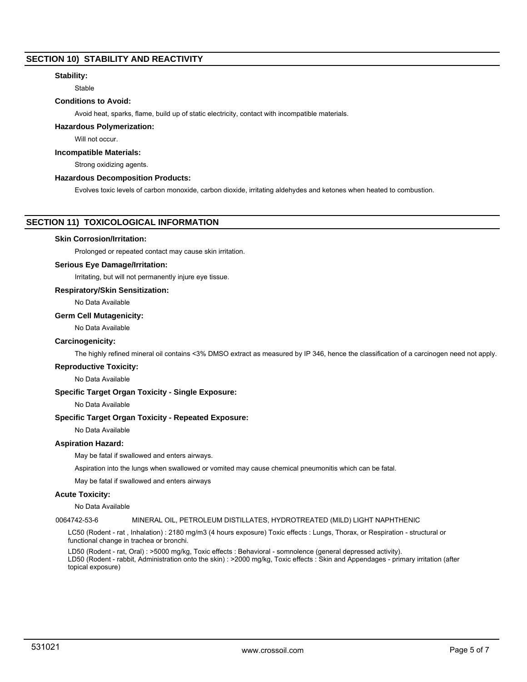## **SECTION 10) STABILITY AND REACTIVITY**

## **Stability:**

Stable

## **Conditions to Avoid:**

Avoid heat, sparks, flame, build up of static electricity, contact with incompatible materials.

#### **Hazardous Polymerization:**

Will not occur.

## **Incompatible Materials:**

Strong oxidizing agents.

## **Hazardous Decomposition Products:**

Evolves toxic levels of carbon monoxide, carbon dioxide, irritating aldehydes and ketones when heated to combustion.

## **SECTION 11) TOXICOLOGICAL INFORMATION**

#### **Skin Corrosion/Irritation:**

Prolonged or repeated contact may cause skin irritation.

## **Serious Eye Damage/Irritation:**

Irritating, but will not permanently injure eye tissue.

#### **Respiratory/Skin Sensitization:**

No Data Available

#### **Germ Cell Mutagenicity:**

No Data Available

#### **Carcinogenicity:**

The highly refined mineral oil contains <3% DMSO extract as measured by IP 346, hence the classification of a carcinogen need not apply.

#### **Reproductive Toxicity:**

No Data Available

#### **Specific Target Organ Toxicity - Single Exposure:**

No Data Available

#### **Specific Target Organ Toxicity - Repeated Exposure:**

No Data Available

## **Aspiration Hazard:**

May be fatal if swallowed and enters airways.

Aspiration into the lungs when swallowed or vomited may cause chemical pneumonitis which can be fatal.

May be fatal if swallowed and enters airways

#### **Acute Toxicity:**

No Data Available

#### 0064742-53-6 MINERAL OIL, PETROLEUM DISTILLATES, HYDROTREATED (MILD) LIGHT NAPHTHENIC

LC50 (Rodent - rat , Inhalation) : 2180 mg/m3 (4 hours exposure) Toxic effects : Lungs, Thorax, or Respiration - structural or functional change in trachea or bronchi.

LD50 (Rodent - rat, Oral) : >5000 mg/kg, Toxic effects : Behavioral - somnolence (general depressed activity). LD50 (Rodent - rabbit, Administration onto the skin) : >2000 mg/kg, Toxic effects : Skin and Appendages - primary irritation (after topical exposure)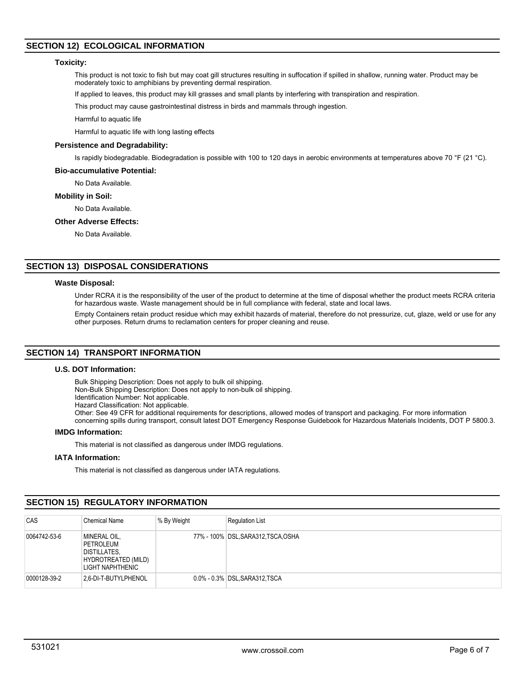## **SECTION 12) ECOLOGICAL INFORMATION**

#### **Toxicity:**

This product is not toxic to fish but may coat gill structures resulting in suffocation if spilled in shallow, running water. Product may be moderately toxic to amphibians by preventing dermal respiration.

If applied to leaves, this product may kill grasses and small plants by interfering with transpiration and respiration.

This product may cause gastrointestinal distress in birds and mammals through ingestion.

Harmful to aquatic life

Harmful to aquatic life with long lasting effects

#### **Persistence and Degradability:**

Is rapidly biodegradable. Biodegradation is possible with 100 to 120 days in aerobic environments at temperatures above 70 °F (21 °C).

#### **Bio-accumulative Potential:**

No Data Available.

#### **Mobility in Soil:**

No Data Available.

#### **Other Adverse Effects:**

No Data Available.

## **SECTION 13) DISPOSAL CONSIDERATIONS**

#### **Waste Disposal:**

Under RCRA it is the responsibility of the user of the product to determine at the time of disposal whether the product meets RCRA criteria for hazardous waste. Waste management should be in full compliance with federal, state and local laws.

Empty Containers retain product residue which may exhibit hazards of material, therefore do not pressurize, cut, glaze, weld or use for any other purposes. Return drums to reclamation centers for proper cleaning and reuse.

## **SECTION 14) TRANSPORT INFORMATION**

#### **U.S. DOT Information:**

Bulk Shipping Description: Does not apply to bulk oil shipping. Non-Bulk Shipping Description: Does not apply to non-bulk oil shipping. Identification Number: Not applicable.

Hazard Classification: Not applicable.

Other: See 49 CFR for additional requirements for descriptions, allowed modes of transport and packaging. For more information

concerning spills during transport, consult latest DOT Emergency Response Guidebook for Hazardous Materials Incidents, DOT P 5800.3.

## **IMDG Information:**

This material is not classified as dangerous under IMDG regulations.

## **IATA Information:**

This material is not classified as dangerous under IATA regulations.

## **SECTION 15) REGULATORY INFORMATION**

| CAS          | <b>Chemical Name</b>                                                                        | % By Weight | <b>Regulation List</b>              |
|--------------|---------------------------------------------------------------------------------------------|-------------|-------------------------------------|
| 0064742-53-6 | MINERAL OIL,<br>PETROLEUM<br><b>DISTILLATES,</b><br>HYDROTREATED (MILD)<br>LIGHT NAPHTHENIC |             | 77% - 100% DSL, SARA312, TSCA, OSHA |
| 0000128-39-2 | 2.6-DI-T-BUTYLPHENOL                                                                        |             | 0.0% - 0.3% DSL SARA312 TSCA        |